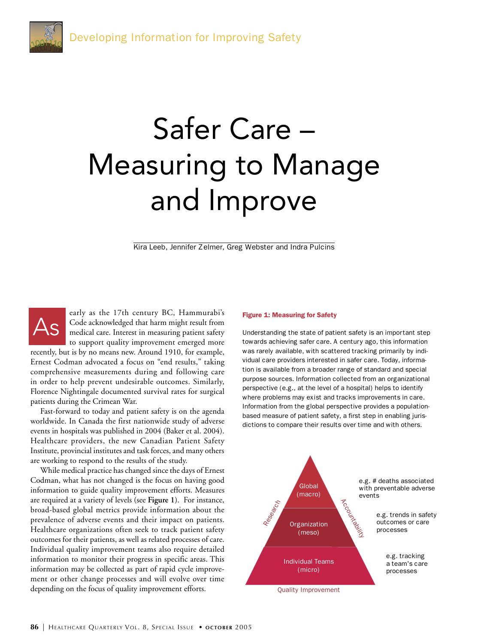# Safer Care – Measuring to Manage and Improve

Kira Leeb, Jennifer Zelmer, Greg Webster and Indra Pulcins

early as the 17th century BC, Hammurabi's Code acknowledged that harm might result from medical care. Interest in measuring patient safety to support quality improvement emerged more

recently, but is by no means new. Around 1910, for example, Ernest Codman advocated a focus on "end results," taking comprehensive measurements during and following care in order to help prevent undesirable outcomes. Similarly, Florence Nightingale documented survival rates for surgical patients during the Crimean War.

As

Fast-forward to today and patient safety is on the agenda worldwide. In Canada the first nationwide study of adverse events in hospitals was published in 2004 (Baker et al. 2004). Healthcare providers, the new Canadian Patient Safety Institute, provincial institutes and task forces, and many others are working to respond to the results of the study.

While medical practice has changed since the days of Ernest Codman, what has not changed is the focus on having good information to guide quality improvement efforts. Measures are required at a variety of levels (see **Figure 1**). For instance, broad-based global metrics provide information about the prevalence of adverse events and their impact on patients. Healthcare organizations often seek to track patient safety outcomes for their patients, as well as related processes of care. Individual quality improvement teams also require detailed information to monitor their progress in specific areas. This information may be collected as part of rapid cycle improvement or other change processes and will evolve over time depending on the focus of quality improvement efforts.

#### Figure 1: Measuring for Safety

Understanding the state of patient safety is an important step towards achieving safer care. A century ago, this information was rarely available, with scattered tracking primarily by individual care providers interested in safer care. Today, information is available from a broader range of standard and special purpose sources. Information collected from an organizational perspective (e.g., at the level of a hospital) helps to identify where problems may exist and tracks improvements in care. Information from the global perspective provides a populationbased measure of patient safety, a first step in enabling jurisdictions to compare their results over time and with others.

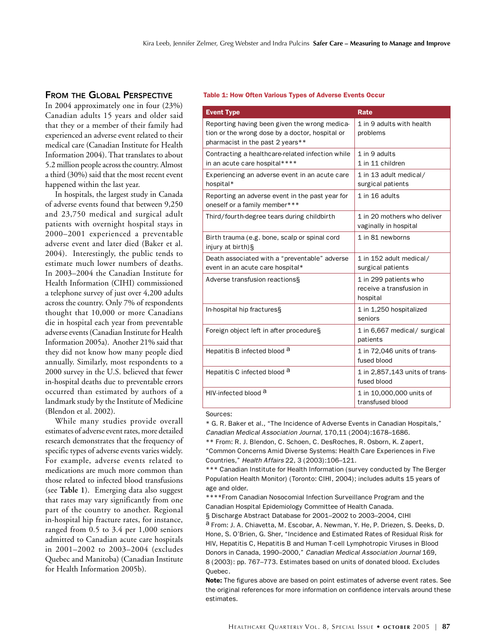# FROM THE GLOBAL PERSPECTIVE

In 2004 approximately one in four (23%) Canadian adults 15 years and older said that they or a member of their family had experienced an adverse event related to their medical care (Canadian Institute for Health Information 2004). That translates to about 5.2 million people across the country. Almost a third (30%) said that the most recent event happened within the last year.

In hospitals, the largest study in Canada of adverse events found that between 9,250 and 23,750 medical and surgical adult patients with overnight hospital stays in 2000–2001 experienced a preventable adverse event and later died (Baker et al. 2004). Interestingly, the public tends to estimate much lower numbers of deaths. In 2003–2004 the Canadian Institute for Health Information (CIHI) commissioned a telephone survey of just over 4,200 adults across the country. Only 7% of respondents thought that 10,000 or more Canadians die in hospital each year from preventable adverse events (Canadian Institute for Health Information 2005a). Another 21% said that they did not know how many people died annually. Similarly, most respondents to a 2000 survey in the U.S. believed that fewer in-hospital deaths due to preventable errors occurred than estimated by authors of a landmark study by the Institute of Medicine (Blendon et al. 2002).

While many studies provide overall estimates of adverse event rates, more detailed research demonstrates that the frequency of specific types of adverse events varies widely. For example, adverse events related to medications are much more common than those related to infected blood transfusions (see **Table 1**). Emerging data also suggest that rates may vary significantly from one part of the country to another. Regional in-hospital hip fracture rates, for instance, ranged from 0.5 to 3.4 per 1,000 seniors admitted to Canadian acute care hospitals in 2001–2002 to 2003–2004 (excludes Quebec and Manitoba) (Canadian Institute for Health Information 2005b).

## Table 1: How Often Various Types of Adverse Events Occur

| <b>Event Type</b>                                                                                                                    | <b>Rate</b>                                                   |
|--------------------------------------------------------------------------------------------------------------------------------------|---------------------------------------------------------------|
| Reporting having been given the wrong medica-<br>tion or the wrong dose by a doctor, hospital or<br>pharmacist in the past 2 years** | 1 in 9 adults with health<br>problems                         |
| Contracting a healthcare-related infection while<br>in an acute care hospital****                                                    | 1 in 9 adults<br>1 in 11 children                             |
| Experiencing an adverse event in an acute care<br>hospital*                                                                          | 1 in 13 adult medical/<br>surgical patients                   |
| Reporting an adverse event in the past year for<br>oneself or a family member***                                                     | 1 in 16 adults                                                |
| Third/fourth-degree tears during childbirth                                                                                          | 1 in 20 mothers who deliver<br>vaginally in hospital          |
| Birth trauma (e.g. bone, scalp or spinal cord<br>injury at birth)§                                                                   | 1 in 81 newborns                                              |
| Death associated with a "preventable" adverse<br>event in an acute care hospital*                                                    | 1 in 152 adult medical/<br>surgical patients                  |
| Adverse transfusion reactions§                                                                                                       | 1 in 299 patients who<br>receive a transfusion in<br>hospital |
| In-hospital hip fractures§                                                                                                           | 1 in 1,250 hospitalized<br>seniors                            |
| Foreign object left in after procedure§                                                                                              | 1 in 6,667 medical/ surgical<br>patients                      |
| Hepatitis B infected blood <sup>a</sup>                                                                                              | 1 in 72,046 units of trans-<br>fused blood                    |
| Hepatitis C infected blood <sup>a</sup>                                                                                              | 1 in 2,857,143 units of trans-<br>fused blood                 |
| HIV-infected blood a                                                                                                                 | 1 in 10,000,000 units of<br>transfused blood                  |

#### Sources:

\* G. R. Baker et al., "The Incidence of Adverse Events in Canadian Hospitals," Canadian Medical Association Journal, 170,11 (2004):1678–1686.

\*\* From: R. J. Blendon, C. Schoen, C. DesRoches, R. Osborn, K. Zapert, "Common Concerns Amid Diverse Systems: Health Care Experiences in Five Countries," Health Affairs 22, 3 (2003):106–121.

\*\*\* Canadian Institute for Health Information (survey conducted by The Berger Population Health Monitor) (Toronto: CIHI, 2004); includes adults 15 years of age and older.

\*\*\*\*From Canadian Nosocomial Infection Surveillance Program and the Canadian Hospital Epidemiology Committee of Health Canada.

§ Discharge Abstract Database for 2001–2002 to 2003–2004, CIHI

a From: J. A. Chiavetta, M. Escobar, A. Newman, Y. He, P. Driezen, S. Deeks, D. Hone, S. O'Brien, G. Sher, "Incidence and Estimated Rates of Residual Risk for HIV, Hepatitis C, Hepatitis B and Human T-cell Lymphotropic Viruses in Blood Donors in Canada, 1990–2000," Canadian Medical Association Journal 169, 8 (2003): pp. 767–773. Estimates based on units of donated blood. Excludes Quebec.

Note: The figures above are based on point estimates of adverse event rates. See the original references for more information on confidence intervals around these estimates.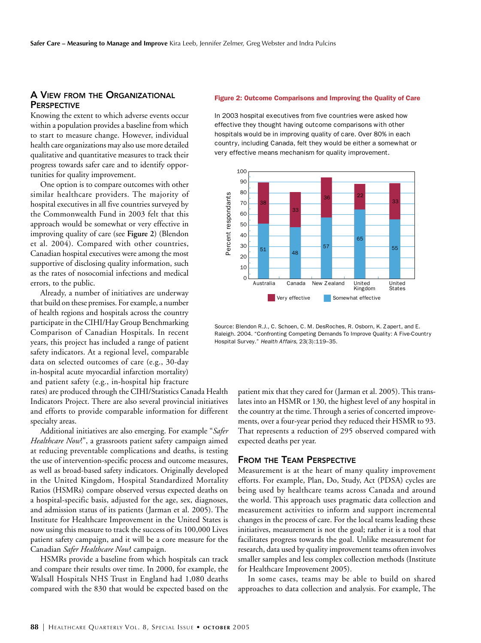# A VIEW FROM THE ORGANIZATIONAL **PERSPECTIVE**

Knowing the extent to which adverse events occur within a population provides a baseline from which to start to measure change. However, individual health care organizations may also use more detailed qualitative and quantitative measures to track their progress towards safer care and to identify opportunities for quality improvement.

One option is to compare outcomes with other similar healthcare providers. The majority of hospital executives in all five countries surveyed by the Commonwealth Fund in 2003 felt that this approach would be somewhat or very effective in improving quality of care (see **Figure 2**) (Blendon et al. 2004). Compared with other countries, Canadian hospital executives were among the most supportive of disclosing quality information, such as the rates of nosocomial infections and medical errors, to the public.

Already, a number of initiatives are underway that build on these premises. For example, a number of health regions and hospitals across the country participate in the CIHI/Hay Group Benchmarking Comparison of Canadian Hospitals. In recent years, this project has included a range of patient safety indicators. At a regional level, comparable data on selected outcomes of care (e.g., 30-day in-hospital acute myocardial infarction mortality) and patient safety (e.g., in-hospital hip fracture

rates) are produced through the CIHI/Statistics Canada Health Indicators Project. There are also several provincial initiatives and efforts to provide comparable information for different specialty areas.

Additional initiatives are also emerging. For example "*Safer Healthcare Now*!", a grassroots patient safety campaign aimed at reducing preventable complications and deaths, is testing the use of intervention-specific process and outcome measures, as well as broad-based safety indicators. Originally developed in the United Kingdom, Hospital Standardized Mortality Ratios (HSMRs) compare observed versus expected deaths on a hospital-specific basis, adjusted for the age, sex, diagnoses, and admission status of its patients (Jarman et al. 2005). The Institute for Healthcare Improvement in the United States is now using this measure to track the success of its 100,000 Lives patient safety campaign, and it will be a core measure for the Canadian *Safer Healthcare Now*! campaign.

HSMRs provide a baseline from which hospitals can track and compare their results over time. In 2000, for example, the Walsall Hospitals NHS Trust in England had 1,080 deaths compared with the 830 that would be expected based on the

#### Figure 2: Outcome Comparisons and Improving the Quality of Care

In 2003 hospital executives from five countries were asked how effective they thought having outcome comparisons with other hospitals would be in improving quality of care. Over 80% in each country, including Canada, felt they would be either a somewhat or very effective means mechanism for quality improvement.



Source: Blendon R.J., C. Schoen, C. M. DesRoches, R. Osborn, K. Zapert, and E. Raleigh. 2004. "Confronting Competing Demands To Improve Quality: A Five-Country

patient mix that they cared for (Jarman et al. 2005). This translates into an HSMR or 130, the highest level of any hospital in the country at the time. Through a series of concerted improvements, over a four-year period they reduced their HSMR to 93. That represents a reduction of 295 observed compared with expected deaths per year.

## FROM THE TEAM PERSPECTIVE

Measurement is at the heart of many quality improvement efforts. For example, Plan, Do, Study, Act (PDSA) cycles are being used by healthcare teams across Canada and around the world. This approach uses pragmatic data collection and measurement activities to inform and support incremental changes in the process of care. For the local teams leading these initiatives, measurement is not the goal; rather it is a tool that facilitates progress towards the goal. Unlike measurement for research, data used by quality improvement teams often involves smaller samples and less complex collection methods (Institute for Healthcare Improvement 2005).

In some cases, teams may be able to build on shared approaches to data collection and analysis. For example, The